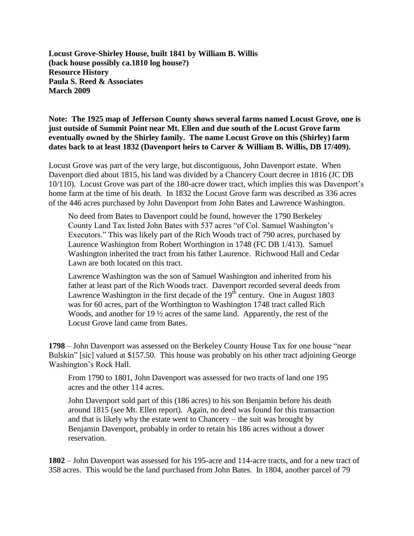**Locust Grove-Shirley House, built 1841 by William B. Willis (back house possibly ca.1810 log house?) Resource History Paula S. Reed & Associates March 2009**

## **Note: The 1925 map of Jefferson County shows several farms named Locust Grove, one is just outside of Summit Point near Mt. Ellen and due south of the Locust Grove farm eventually owned by the Shirley family. The name Locust Grove on this (Shirley) farm dates back to at least 1832 (Davenport heirs to Carver & William B. Willis, DB 17/409).**

Locust Grove was part of the very large, but discontiguous, John Davenport estate. When Davenport died about 1815, his land was divided by a Chancery Court decree in 1816 (JC DB 10/110). Locust Grove was part of the 180-acre dower tract, which implies this was Davenport's home farm at the time of his death. In 1832 the Locust Grove farm was described as 336 acres of the 446 acres purchased by John Davenport from John Bates and Lawrence Washington.

No deed from Bates to Davenport could be found, however the 1790 Berkeley County Land Tax listed John Bates with 537 acres "of Col. Samuel Washington's Executors." This was likely part of the Rich Woods tract of 790 acres, purchased by Laurence Washington from Robert Worthington in 1748 (FC DB 1/413). Samuel Washington inherited the tract from his father Laurence. Richwood Hall and Cedar Lawn are both located on this tract.

Lawrence Washington was the son of Samuel Washington and inherited from his father at least part of the Rich Woods tract. Davenport recorded several deeds from Lawrence Washington in the first decade of the  $19<sup>th</sup>$  century. One in August 1803 was for 60 acres, part of the Worthington to Washington 1748 tract called Rich Woods, and another for 19 ½ acres of the same land. Apparently, the rest of the Locust Grove land came from Bates.

**1798** – John Davenport was assessed on the Berkeley County House Tax for one house "near Bulskin" [sic] valued at \$157.50. This house was probably on his other tract adjoining George Washington's Rock Hall.

From 1790 to 1801, John Davenport was assessed for two tracts of land one 195 acres and the other 114 acres.

John Davenport sold part of this (186 acres) to his son Benjamin before his death around 1815 (see Mt. Ellen report). Again, no deed was found for this transaction and that is likely why the estate went to Chancery – the suit was brought by Benjamin Davenport, probably in order to retain his 186 acres without a dower reservation.

**1802** – John Davenport was assessed for his 195-acre and 114-acre tracts, and for a new tract of 358 acres. This would be the land purchased from John Bates. In 1804, another parcel of 79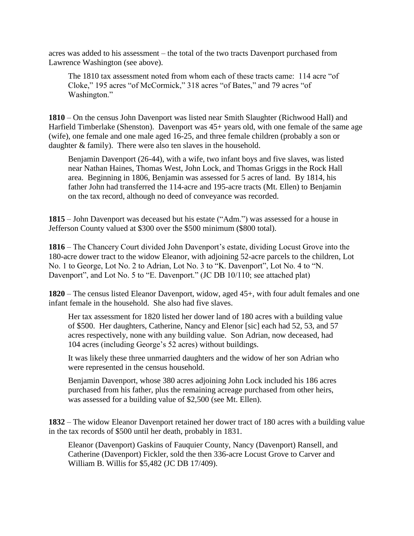acres was added to his assessment – the total of the two tracts Davenport purchased from Lawrence Washington (see above).

The 1810 tax assessment noted from whom each of these tracts came: 114 acre "of Cloke," 195 acres "of McCormick," 318 acres "of Bates," and 79 acres "of Washington."

**1810** – On the census John Davenport was listed near Smith Slaughter (Richwood Hall) and Harfield Timberlake (Shenston). Davenport was  $45+$  years old, with one female of the same age (wife), one female and one male aged 16-25, and three female children (probably a son or daughter & family). There were also ten slaves in the household.

Benjamin Davenport (26-44), with a wife, two infant boys and five slaves, was listed near Nathan Haines, Thomas West, John Lock, and Thomas Griggs in the Rock Hall area. Beginning in 1806, Benjamin was assessed for 5 acres of land. By 1814, his father John had transferred the 114-acre and 195-acre tracts (Mt. Ellen) to Benjamin on the tax record, although no deed of conveyance was recorded.

**1815** – John Davenport was deceased but his estate ("Adm.") was assessed for a house in Jefferson County valued at \$300 over the \$500 minimum (\$800 total).

**1816** – The Chancery Court divided John Davenport's estate, dividing Locust Grove into the 180-acre dower tract to the widow Eleanor, with adjoining 52-acre parcels to the children, Lot No. 1 to George, Lot No. 2 to Adrian, Lot No. 3 to "K. Davenport", Lot No. 4 to "N. Davenport", and Lot No. 5 to "E. Davenport." (JC DB 10/110; see attached plat)

**1820** – The census listed Eleanor Davenport, widow, aged 45+, with four adult females and one infant female in the household. She also had five slaves.

Her tax assessment for 1820 listed her dower land of 180 acres with a building value of \$500. Her daughters, Catherine, Nancy and Elenor [sic] each had 52, 53, and 57 acres respectively, none with any building value. Son Adrian, now deceased, had 104 acres (including George's 52 acres) without buildings.

It was likely these three unmarried daughters and the widow of her son Adrian who were represented in the census household.

Benjamin Davenport, whose 380 acres adjoining John Lock included his 186 acres purchased from his father, plus the remaining acreage purchased from other heirs, was assessed for a building value of \$2,500 (see Mt. Ellen).

**1832** – The widow Eleanor Davenport retained her dower tract of 180 acres with a building value in the tax records of \$500 until her death, probably in 1831.

Eleanor (Davenport) Gaskins of Fauquier County, Nancy (Davenport) Ransell, and Catherine (Davenport) Fickler, sold the then 336-acre Locust Grove to Carver and William B. Willis for \$5,482 (JC DB 17/409).